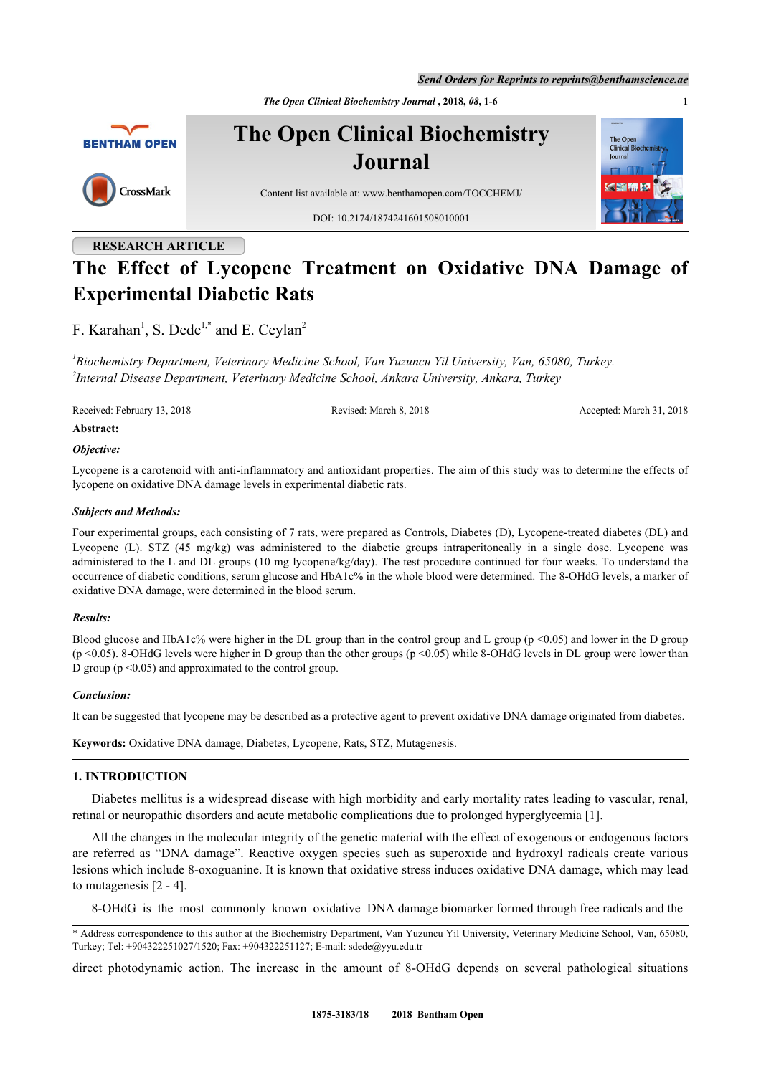*Send Orders for Reprints to reprints@benthamscience.ae*

*The Open Clinical Biochemistry Journal* **, 2018,** *08***, 1-6 1**



# **RESEARCH ARTICLE**

# **The Effect of Lycopene Treatment on Oxidative DNA Damage of Experimental Diabetic Rats**

F. Karahan<sup>[1](#page-0-0)</sup>, S. Dede<sup>[1,](#page-0-0)[\\*](#page-0-1)</sup> and E. Ceylan<sup>[2](#page-0-2)</sup>

<span id="page-0-2"></span><span id="page-0-0"></span>*1 Biochemistry Department, Veterinary Medicine School, Van Yuzuncu Yil University, Van, 65080, Turkey. 2 Internal Disease Department, Veterinary Medicine School, Ankara University, Ankara, Turkey*

Received: February 13, 2018 Revised: March 8, 2018 Accepted: March 31, 2018

#### **Abstract:**

#### *Objective:*

Lycopene is a carotenoid with anti-inflammatory and antioxidant properties. The aim of this study was to determine the effects of lycopene on oxidative DNA damage levels in experimental diabetic rats.

## *Subjects and Methods:*

Four experimental groups, each consisting of 7 rats, were prepared as Controls, Diabetes (D), Lycopene-treated diabetes (DL) and Lycopene (L). STZ (45 mg/kg) was administered to the diabetic groups intraperitoneally in a single dose. Lycopene was administered to the L and DL groups (10 mg lycopene/kg/day). The test procedure continued for four weeks. To understand the occurrence of diabetic conditions, serum glucose and HbA1c% in the whole blood were determined. The 8-OHdG levels, a marker of oxidative DNA damage, were determined in the blood serum.

#### *Results:*

Blood glucose and HbA1c% were higher in the DL group than in the control group and L group ( $p \le 0.05$ ) and lower in the D group (p <0.05). 8-OHdG levels were higher in D group than the other groups (p <0.05) while 8-OHdG levels in DL group were lower than D group ( $p \le 0.05$ ) and approximated to the control group.

#### *Conclusion:*

It can be suggested that lycopene may be described as a protective agent to prevent oxidative DNA damage originated from diabetes.

**Keywords:** Oxidative DNA damage, Diabetes, Lycopene, Rats, STZ, Mutagenesis.

## **1. INTRODUCTION**

Diabetes mellitus is a widespread disease with high morbidity and early mortality rates leading to vascular, renal, retinal or neuropathic disorders and acute metabolic complications due to prolonged hyperglycemia [\[1](#page-3-0)].

All the changes in the molecular integrity of the genetic material with the effect of exogenous or endogenous factors are referred as "DNA damage". Reactive oxygen species such as superoxide and hydroxyl radicals create various lesions which include 8-oxoguanine. It is known that oxidative stress induces oxidative DNA damage, which may lead to mutagenesis [\[2](#page-3-1) - [4\]](#page-4-0).

8-OHdG is the most commonly known oxidative DNA damage biomarker formed through free radicals and the

direct photodynamic action. The increase in the amount of 8-OHdG depends on several pathological situations

<span id="page-0-1"></span><sup>\*</sup> Address correspondence to this author at the Biochemistry Department, Van Yuzuncu Yil University, Veterinary Medicine School, Van, 65080, Turkey; Tel: +904322251027/1520; Fax: +904322251127; E-mail: [sdede@yyu.edu.tr](mailto:sdede@yyu.edu.tr)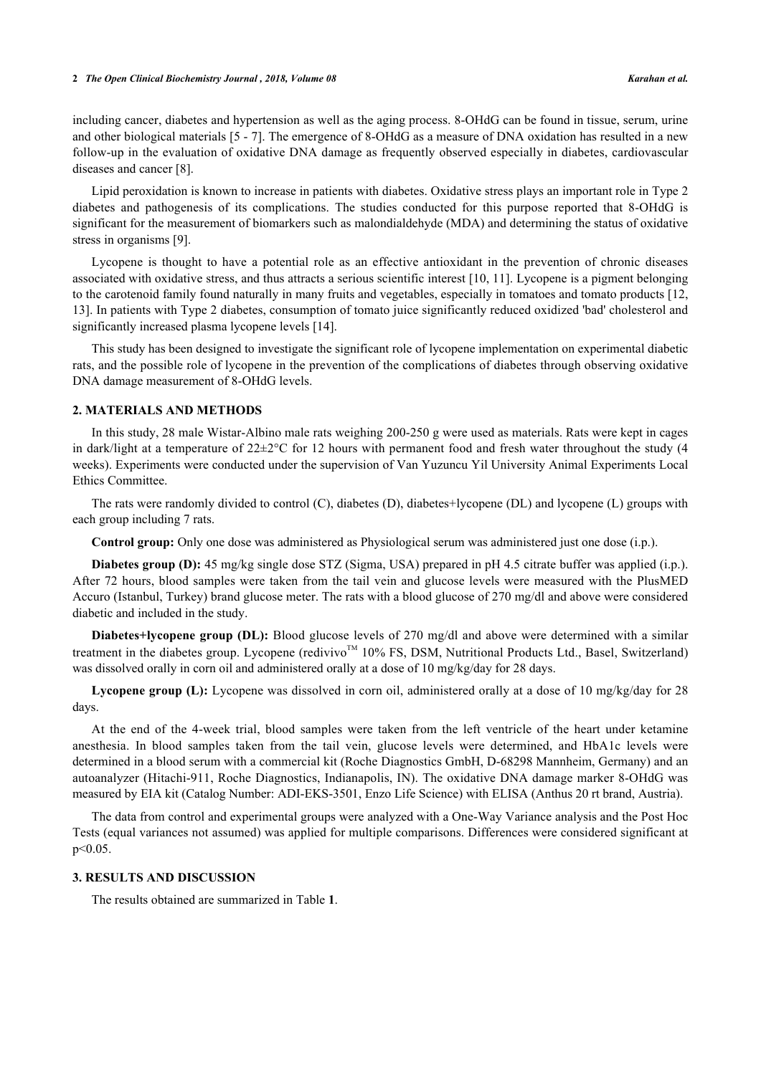including cancer, diabetes and hypertension as well as the aging process. 8-OHdG can be found in tissue, serum, urine and other biological materials [[5](#page-4-1) - [7\]](#page-4-2). The emergence of 8-OHdG as a measure of DNA oxidation has resulted in a new follow-up in the evaluation of oxidative DNA damage as frequently observed especially in diabetes, cardiovascular diseases and cancer [[8\]](#page-4-3).

Lipid peroxidation is known to increase in patients with diabetes. Oxidative stress plays an important role in Type 2 diabetes and pathogenesis of its complications. The studies conducted for this purpose reported that 8-OHdG is significant for the measurement of biomarkers such as malondialdehyde (MDA) and determining the status of oxidative stress in organisms [[9\]](#page-4-4).

Lycopene is thought to have a potential role as an effective antioxidant in the prevention of chronic diseases associated with oxidative stress, and thus attracts a serious scientific interest [\[10](#page-4-5), [11\]](#page-4-6). Lycopene is a pigment belonging to the carotenoid family found naturally in many fruits and vegetables, especially in tomatoes and tomato products [[12](#page-4-7), [13\]](#page-4-8). In patients with Type 2 diabetes, consumption of tomato juice significantly reduced oxidized 'bad' cholesterol and significantly increased plasma lycopene levels [\[14](#page-4-9)].

This study has been designed to investigate the significant role of lycopene implementation on experimental diabetic rats, and the possible role of lycopene in the prevention of the complications of diabetes through observing oxidative DNA damage measurement of 8-OHdG levels.

# **2. MATERIALS AND METHODS**

In this study, 28 male Wistar-Albino male rats weighing 200-250 g were used as materials. Rats were kept in cages in dark/light at a temperature of  $22\pm2\degree$ C for 12 hours with permanent food and fresh water throughout the study (4 weeks). Experiments were conducted under the supervision of Van Yuzuncu Yil University Animal Experiments Local Ethics Committee.

The rats were randomly divided to control (C), diabetes (D), diabetes+lycopene (DL) and lycopene (L) groups with each group including 7 rats.

**Control group:** Only one dose was administered as Physiological serum was administered just one dose (i.p.).

**Diabetes group (D):** 45 mg/kg single dose STZ (Sigma, USA) prepared in pH 4.5 citrate buffer was applied (i.p.). After 72 hours, blood samples were taken from the tail vein and glucose levels were measured with the PlusMED Accuro (Istanbul, Turkey) brand glucose meter. The rats with a blood glucose of 270 mg/dl and above were considered diabetic and included in the study.

**Diabetes+lycopene group (DL):** Blood glucose levels of 270 mg/dl and above were determined with a similar treatment in the diabetes group. Lycopene (redivivo<sup>TM</sup> 10% FS, DSM, Nutritional Products Ltd., Basel, Switzerland) was dissolved orally in corn oil and administered orally at a dose of 10 mg/kg/day for 28 days.

Lycopene group (L): Lycopene was dissolved in corn oil, administered orally at a dose of 10 mg/kg/day for 28 days.

At the end of the 4-week trial, blood samples were taken from the left ventricle of the heart under ketamine anesthesia. In blood samples taken from the tail vein, glucose levels were determined, and HbA1c levels were determined in a blood serum with a commercial kit (Roche Diagnostics GmbH, D-68298 Mannheim, Germany) and an autoanalyzer (Hitachi-911, Roche Diagnostics, Indianapolis, IN). The oxidative DNA damage marker 8-OHdG was measured by EIA kit (Catalog Number: ADI-EKS-3501, Enzo Life Science) with ELISA (Anthus 20 rt brand, Austria).

The data from control and experimental groups were analyzed with a One-Way Variance analysis and the Post Hoc Tests (equal variances not assumed) was applied for multiple comparisons. Differences were considered significant at p<0.05.

#### **3. RESULTS AND DISCUSSION**

The results obtained are summarized in Table **[1](#page-2-0)**.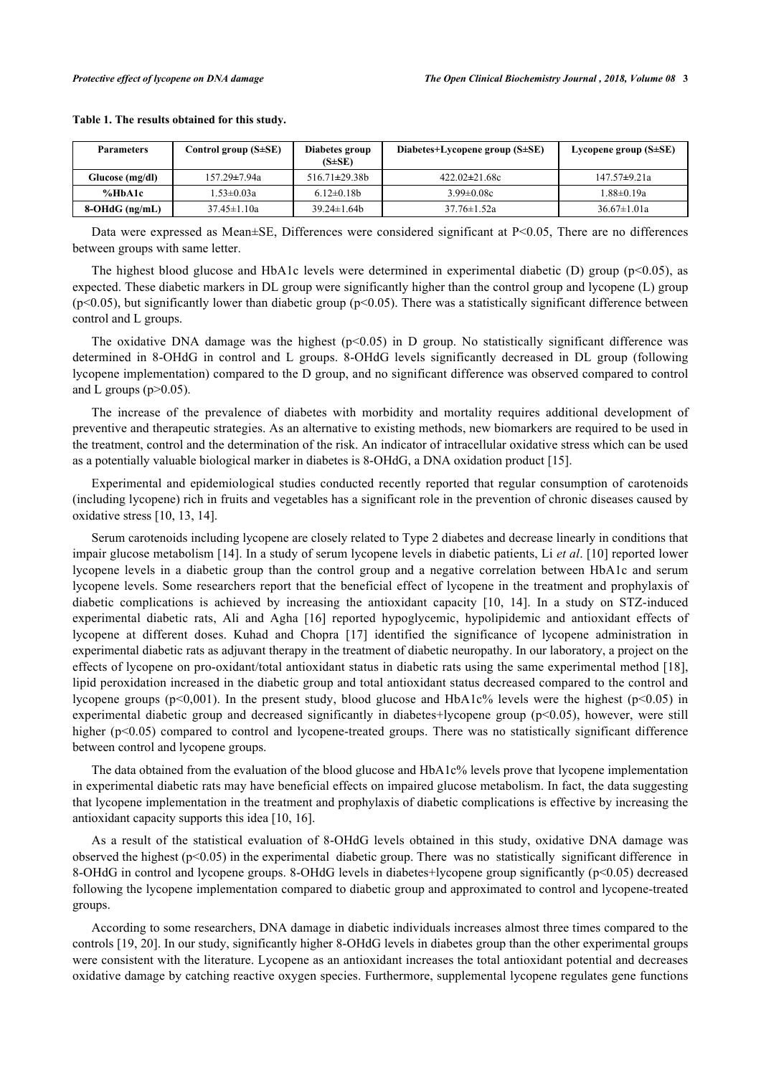| <b>Parameters</b> | Control group $(S \pm SE)$ | Diabetes group<br>$(S\pm SE)$ | Diabetes+Lycopene group $(S \pm SE)$ | Lycopene group $(S\pm SE)$ |
|-------------------|----------------------------|-------------------------------|--------------------------------------|----------------------------|
| Glucose (mg/dl)   | $157.29 \pm 7.94a$         | $516.71 \pm 29.38 b$          | $422.02 \pm 21.68c$                  | $147.57 \pm 9.21a$         |
| %HbA1c            | 1.53±0.03a                 | $6.12 \pm 0.18b$              | $3.99 \pm 0.08c$                     | l.88±0.19a                 |
| 8-OHdG (ng/mL)    | $37.45 \pm 1.10a$          | $39.24 \pm 1.64 b$            | $37.76 \pm 1.52a$                    | $36.67 \pm 1.01a$          |

#### <span id="page-2-0"></span>**Table 1. The results obtained for this study.**

Data were expressed as Mean±SE, Differences were considered significant at P<0.05, There are no differences between groups with same letter.

The highest blood glucose and HbA1c levels were determined in experimental diabetic (D) group (p<0.05), as expected. These diabetic markers in DL group were significantly higher than the control group and lycopene (L) group  $(p<0.05)$ , but significantly lower than diabetic group  $(p<0.05)$ . There was a statistically significant difference between control and L groups.

The oxidative DNA damage was the highest  $(p<0.05)$  in D group. No statistically significant difference was determined in 8-OHdG in control and L groups. 8-OHdG levels significantly decreased in DL group (following lycopene implementation) compared to the D group, and no significant difference was observed compared to control and L groups  $(p>0.05)$ .

The increase of the prevalence of diabetes with morbidity and mortality requires additional development of preventive and therapeutic strategies. As an alternative to existing methods, new biomarkers are required to be used in the treatment, control and the determination of the risk. An indicator of intracellular oxidative stress which can be used as a potentially valuable biological marker in diabetes is 8-OHdG, a DNA oxidation product [[15\]](#page-4-10).

Experimental and epidemiological studies conducted recently reported that regular consumption of carotenoids (including lycopene) rich in fruits and vegetables has a significant role in the prevention of chronic diseases caused by oxidative stress [\[10](#page-4-5), [13](#page-4-8), [14](#page-4-9)].

Serum carotenoids including lycopene are closely related to Type 2 diabetes and decrease linearly in conditions that impair glucose metabolism [[14\]](#page-4-9). In a study of serum lycopene levels in diabetic patients, Li *et al*. [\[10\]](#page-4-5) reported lower lycopene levels in a diabetic group than the control group and a negative correlation between HbA1c and serum lycopene levels. Some researchers report that the beneficial effect of lycopene in the treatment and prophylaxis of diabetic complications is achieved by increasing the antioxidant capacity[[10,](#page-4-5) [14](#page-4-9)]. In a study on STZ-induced experimental diabetic rats, Ali and Agha[[16\]](#page-4-11) reported hypoglycemic, hypolipidemic and antioxidant effects of lycopene at different doses. Kuhad and Chopra[[17](#page-4-12)] identified the significance of lycopene administration in experimental diabetic rats as adjuvant therapy in the treatment of diabetic neuropathy. In our laboratory, a project on the effects of lycopene on pro-oxidant/total antioxidant status in diabetic rats using the same experimental method [\[18\]](#page-4-13), lipid peroxidation increased in the diabetic group and total antioxidant status decreased compared to the control and lycopene groups (p<0,001). In the present study, blood glucose and HbA1c% levels were the highest (p<0.05) in experimental diabetic group and decreased significantly in diabetes+lycopene group (p<0.05), however, were still higher (p<0.05) compared to control and lycopene-treated groups. There was no statistically significant difference between control and lycopene groups.

The data obtained from the evaluation of the blood glucose and HbA1c% levels prove that lycopene implementation in experimental diabetic rats may have beneficial effects on impaired glucose metabolism. In fact, the data suggesting that lycopene implementation in the treatment and prophylaxis of diabetic complications is effective by increasing the antioxidant capacity supports this idea [[10,](#page-4-5) [16\]](#page-4-11).

As a result of the statistical evaluation of 8-OHdG levels obtained in this study, oxidative DNA damage was observed the highest ( $p<0.05$ ) in the experimental diabetic group. There was no statistically significant difference in 8-OHdG in control and lycopene groups. 8-OHdG levels in diabetes+lycopene group significantly (p<0.05) decreased following the lycopene implementation compared to diabetic group and approximated to control and lycopene-treated groups.

According to some researchers, DNA damage in diabetic individuals increases almost three times compared to the controls [[19,](#page-4-14) [20](#page-4-15)]. In our study, significantly higher 8-OHdG levels in diabetes group than the other experimental groups were consistent with the literature. Lycopene as an antioxidant increases the total antioxidant potential and decreases oxidative damage by catching reactive oxygen species. Furthermore, supplemental lycopene regulates gene functions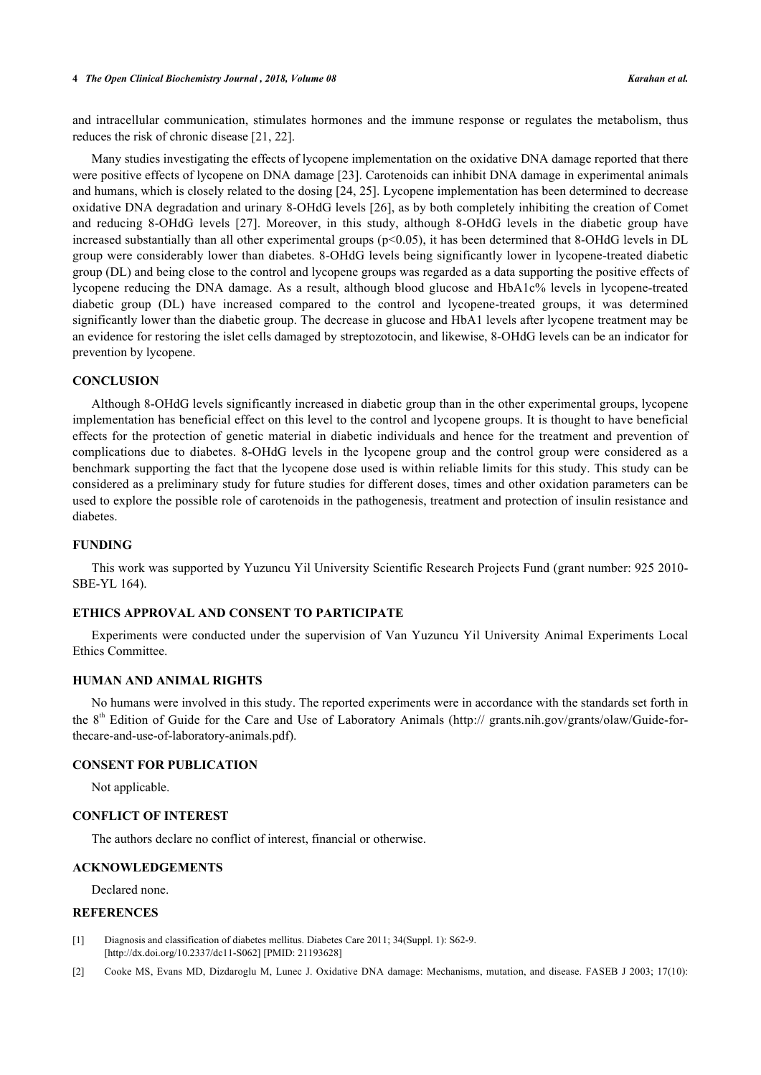#### **4** *The Open Clinical Biochemistry Journal , 2018, Volume 08 Karahan et al.*

and intracellular communication, stimulates hormones and the immune response or regulates the metabolism, thus reduces the risk of chronic disease [[21,](#page-4-16) [22\]](#page-4-17).

Many studies investigating the effects of lycopene implementation on the oxidative DNA damage reported that there were positive effects of lycopene on DNA damage [[23\]](#page-5-0). Carotenoids can inhibit DNA damage in experimental animals and humans, which is closely related to the dosing [\[24](#page-5-1), [25](#page-5-2)]. Lycopene implementation has been determined to decrease oxidative DNA degradation and urinary 8-OHdG levels [[26\]](#page-5-3), as by both completely inhibiting the creation of Comet and reducing 8-OHdG levels[[27\]](#page-5-4). Moreover, in this study, although 8-OHdG levels in the diabetic group have increased substantially than all other experimental groups  $(p<0.05)$ , it has been determined that 8-OHdG levels in DL group were considerably lower than diabetes. 8-OHdG levels being significantly lower in lycopene-treated diabetic group (DL) and being close to the control and lycopene groups was regarded as a data supporting the positive effects of lycopene reducing the DNA damage. As a result, although blood glucose and HbA1c% levels in lycopene-treated diabetic group (DL) have increased compared to the control and lycopene-treated groups, it was determined significantly lower than the diabetic group. The decrease in glucose and HbA1 levels after lycopene treatment may be an evidence for restoring the islet cells damaged by streptozotocin, and likewise, 8-OHdG levels can be an indicator for prevention by lycopene.

#### **CONCLUSION**

Although 8-OHdG levels significantly increased in diabetic group than in the other experimental groups, lycopene implementation has beneficial effect on this level to the control and lycopene groups. It is thought to have beneficial effects for the protection of genetic material in diabetic individuals and hence for the treatment and prevention of complications due to diabetes. 8-OHdG levels in the lycopene group and the control group were considered as a benchmark supporting the fact that the lycopene dose used is within reliable limits for this study. This study can be considered as a preliminary study for future studies for different doses, times and other oxidation parameters can be used to explore the possible role of carotenoids in the pathogenesis, treatment and protection of insulin resistance and diabetes.

#### **FUNDING**

This work was supported by Yuzuncu Yil University Scientific Research Projects Fund (grant number: 925 2010- SBE-YL 164).

# **ETHICS APPROVAL AND CONSENT TO PARTICIPATE**

Experiments were conducted under the supervision of Van Yuzuncu Yil University Animal Experiments Local Ethics Committee.

# **HUMAN AND ANIMAL RIGHTS**

No humans were involved in this study. The reported experiments were in accordance with the standards set forth in the 8<sup>th</sup> Edition of Guide for the Care and Use of Laboratory Animals ([http:// grants.nih.gov/grants/olaw/Guide-for](http://%20grants.nih.gov/grants/olaw/Guide-for-thecare-and-use-of-laboratory-animals.pdf)[thecare-and-use-of-laboratory-animals.pdf](http://%20grants.nih.gov/grants/olaw/Guide-for-thecare-and-use-of-laboratory-animals.pdf)).

#### **CONSENT FOR PUBLICATION**

Not applicable.

#### **CONFLICT OF INTEREST**

The authors declare no conflict of interest, financial or otherwise.

#### **ACKNOWLEDGEMENTS**

Declared none.

#### **REFERENCES**

- <span id="page-3-0"></span>[1] Diagnosis and classification of diabetes mellitus. Diabetes Care 2011; 34(Suppl. 1): S62-9. [\[http://dx.doi.org/10.2337/dc11-S062](http://dx.doi.org/10.2337/dc11-S062)] [PMID: [21193628](http://www.ncbi.nlm.nih.gov/pubmed/21193628)]
- <span id="page-3-1"></span>[2] Cooke MS, Evans MD, Dizdaroglu M, Lunec J. Oxidative DNA damage: Mechanisms, mutation, and disease. FASEB J 2003; 17(10):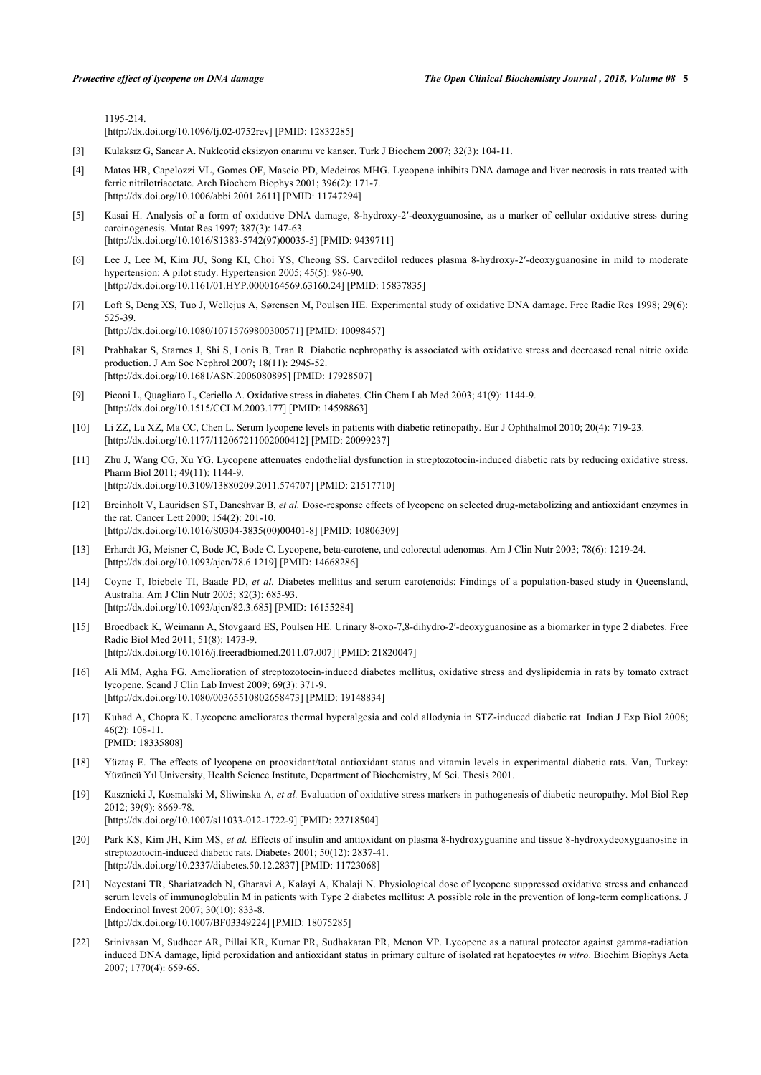1195-214.

[\[http://dx.doi.org/10.1096/fj.02-0752rev\]](http://dx.doi.org/10.1096/fj.02-0752rev) [PMID: [12832285](http://www.ncbi.nlm.nih.gov/pubmed/12832285)]

- [3] Kulaksız G, Sancar A. Nukleotid eksizyon onarımı ve kanser. Turk J Biochem 2007; 32(3): 104-11.
- <span id="page-4-0"></span>[4] Matos HR, Capelozzi VL, Gomes OF, Mascio PD, Medeiros MHG. Lycopene inhibits DNA damage and liver necrosis in rats treated with ferric nitrilotriacetate. Arch Biochem Biophys 2001; 396(2): 171-7. [\[http://dx.doi.org/10.1006/abbi.2001.2611\]](http://dx.doi.org/10.1006/abbi.2001.2611) [PMID: [11747294](http://www.ncbi.nlm.nih.gov/pubmed/11747294)]
- <span id="page-4-1"></span>[5] Kasai H. Analysis of a form of oxidative DNA damage, 8-hydroxy-2′-deoxyguanosine, as a marker of cellular oxidative stress during carcinogenesis. Mutat Res 1997; 387(3): 147-63. [\[http://dx.doi.org/10.1016/S1383-5742\(97\)00035-5\]](http://dx.doi.org/10.1016/S1383-5742(97)00035-5) [PMID: [9439711](http://www.ncbi.nlm.nih.gov/pubmed/9439711)]
- [6] Lee J, Lee M, Kim JU, Song KI, Choi YS, Cheong SS. Carvedilol reduces plasma 8-hydroxy-2′-deoxyguanosine in mild to moderate hypertension: A pilot study. Hypertension 2005; 45(5): 986-90. [\[http://dx.doi.org/10.1161/01.HYP.0000164569.63160.24\]](http://dx.doi.org/10.1161/01.HYP.0000164569.63160.24) [PMID: [15837835](http://www.ncbi.nlm.nih.gov/pubmed/15837835)]
- <span id="page-4-2"></span>[7] Loft S, Deng XS, Tuo J, Wellejus A, Sørensen M, Poulsen HE. Experimental study of oxidative DNA damage. Free Radic Res 1998; 29(6): 525-39. [\[http://dx.doi.org/10.1080/10715769800300571\]](http://dx.doi.org/10.1080/10715769800300571) [PMID: [10098457](http://www.ncbi.nlm.nih.gov/pubmed/10098457)]
- <span id="page-4-3"></span>[8] Prabhakar S, Starnes J, Shi S, Lonis B, Tran R. Diabetic nephropathy is associated with oxidative stress and decreased renal nitric oxide production. J Am Soc Nephrol 2007; 18(11): 2945-52. [\[http://dx.doi.org/10.1681/ASN.2006080895\]](http://dx.doi.org/10.1681/ASN.2006080895) [PMID: [17928507](http://www.ncbi.nlm.nih.gov/pubmed/17928507)]
- <span id="page-4-4"></span>[9] Piconi L, Quagliaro L, Ceriello A. Oxidative stress in diabetes. Clin Chem Lab Med 2003; 41(9): 1144-9. [\[http://dx.doi.org/10.1515/CCLM.2003.177](http://dx.doi.org/10.1515/CCLM.2003.177)] [PMID: [14598863](http://www.ncbi.nlm.nih.gov/pubmed/14598863)]
- <span id="page-4-5"></span>[10] Li ZZ, Lu XZ, Ma CC, Chen L. Serum lycopene levels in patients with diabetic retinopathy. Eur J Ophthalmol 2010; 20(4): 719-23. [\[http://dx.doi.org/10.1177/112067211002000412\]](http://dx.doi.org/10.1177/112067211002000412) [PMID: [20099237](http://www.ncbi.nlm.nih.gov/pubmed/20099237)]
- <span id="page-4-6"></span>[11] Zhu J, Wang CG, Xu YG. Lycopene attenuates endothelial dysfunction in streptozotocin-induced diabetic rats by reducing oxidative stress. Pharm Biol 2011; 49(11): 1144-9. [\[http://dx.doi.org/10.3109/13880209.2011.574707\]](http://dx.doi.org/10.3109/13880209.2011.574707) [PMID: [21517710](http://www.ncbi.nlm.nih.gov/pubmed/21517710)]
- <span id="page-4-7"></span>[12] Breinholt V, Lauridsen ST, Daneshvar B, *et al.* Dose-response effects of lycopene on selected drug-metabolizing and antioxidant enzymes in the rat. Cancer Lett 2000; 154(2): 201-10. [\[http://dx.doi.org/10.1016/S0304-3835\(00\)00401-8\]](http://dx.doi.org/10.1016/S0304-3835(00)00401-8) [PMID: [10806309](http://www.ncbi.nlm.nih.gov/pubmed/10806309)]
- <span id="page-4-8"></span>[13] Erhardt JG, Meisner C, Bode JC, Bode C. Lycopene, beta-carotene, and colorectal adenomas. Am J Clin Nutr 2003; 78(6): 1219-24. [\[http://dx.doi.org/10.1093/ajcn/78.6.1219](http://dx.doi.org/10.1093/ajcn/78.6.1219)] [PMID: [14668286\]](http://www.ncbi.nlm.nih.gov/pubmed/14668286)
- <span id="page-4-9"></span>[14] Coyne T, Ibiebele TI, Baade PD, *et al.* Diabetes mellitus and serum carotenoids: Findings of a population-based study in Queensland, Australia. Am J Clin Nutr 2005; 82(3): 685-93. [\[http://dx.doi.org/10.1093/ajcn/82.3.685](http://dx.doi.org/10.1093/ajcn/82.3.685)] [PMID: [16155284\]](http://www.ncbi.nlm.nih.gov/pubmed/16155284)
- <span id="page-4-10"></span>[15] Broedbaek K, Weimann A, Stovgaard ES, Poulsen HE. Urinary 8-oxo-7,8-dihydro-2′-deoxyguanosine as a biomarker in type 2 diabetes. Free Radic Biol Med 2011; 51(8): 1473-9. [\[http://dx.doi.org/10.1016/j.freeradbiomed.2011.07.007\]](http://dx.doi.org/10.1016/j.freeradbiomed.2011.07.007) [PMID: [21820047](http://www.ncbi.nlm.nih.gov/pubmed/21820047)]
- <span id="page-4-11"></span>[16] Ali MM, Agha FG. Amelioration of streptozotocin-induced diabetes mellitus, oxidative stress and dyslipidemia in rats by tomato extract lycopene. Scand J Clin Lab Invest 2009; 69(3): 371-9. [\[http://dx.doi.org/10.1080/00365510802658473\]](http://dx.doi.org/10.1080/00365510802658473) [PMID: [19148834](http://www.ncbi.nlm.nih.gov/pubmed/19148834)]
- <span id="page-4-12"></span>[17] Kuhad A, Chopra K. Lycopene ameliorates thermal hyperalgesia and cold allodynia in STZ-induced diabetic rat. Indian J Exp Biol 2008; 46(2): 108-11. [PMID: [18335808\]](http://www.ncbi.nlm.nih.gov/pubmed/18335808)
- <span id="page-4-13"></span>[18] Yüztaş E. The effects of lycopene on prooxidant/total antioxidant status and vitamin levels in experimental diabetic rats. Van, Turkey: Yüzüncü Yıl University, Health Science Institute, Department of Biochemistry, M.Sci. Thesis 2001.
- <span id="page-4-14"></span>[19] Kasznicki J, Kosmalski M, Sliwinska A, *et al.* Evaluation of oxidative stress markers in pathogenesis of diabetic neuropathy. Mol Biol Rep 2012; 39(9): 8669-78.
	- [\[http://dx.doi.org/10.1007/s11033-012-1722-9\]](http://dx.doi.org/10.1007/s11033-012-1722-9) [PMID: [22718504](http://www.ncbi.nlm.nih.gov/pubmed/22718504)]
- <span id="page-4-15"></span>[20] Park KS, Kim JH, Kim MS, *et al.* Effects of insulin and antioxidant on plasma 8-hydroxyguanine and tissue 8-hydroxydeoxyguanosine in streptozotocin-induced diabetic rats. Diabetes 2001; 50(12): 2837-41. [\[http://dx.doi.org/10.2337/diabetes.50.12.2837](http://dx.doi.org/10.2337/diabetes.50.12.2837)] [PMID: [11723068\]](http://www.ncbi.nlm.nih.gov/pubmed/11723068)
- <span id="page-4-16"></span>[21] Neyestani TR, Shariatzadeh N, Gharavi A, Kalayi A, Khalaji N. Physiological dose of lycopene suppressed oxidative stress and enhanced serum levels of immunoglobulin M in patients with Type 2 diabetes mellitus: A possible role in the prevention of long-term complications. J Endocrinol Invest 2007; 30(10): 833-8. [\[http://dx.doi.org/10.1007/BF03349224\]](http://dx.doi.org/10.1007/BF03349224) [PMID: [18075285](http://www.ncbi.nlm.nih.gov/pubmed/18075285)]
- <span id="page-4-17"></span>[22] Srinivasan M, Sudheer AR, Pillai KR, Kumar PR, Sudhakaran PR, Menon VP. Lycopene as a natural protector against gamma-radiation induced DNA damage, lipid peroxidation and antioxidant status in primary culture of isolated rat hepatocytes *in vitro*. Biochim Biophys Acta 2007; 1770(4): 659-65.